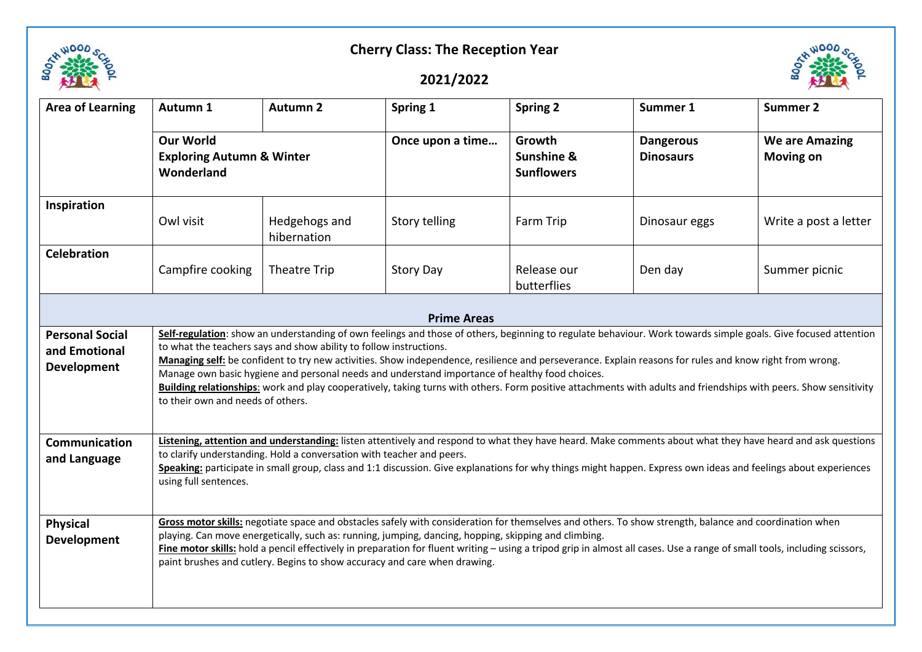

## **Cherry Class: The Reception Year**

## **2021/2022**



| <b>Area of Learning</b>                                | Autumn 1                                                                                                                                                                                                                                                                                                                                                                                                                                                                                                                                                                                                                                                                                                    | <b>Autumn 2</b>              | Spring 1         | <b>Spring 2</b>                           | Summer 1                             | <b>Summer 2</b>                           |  |  |  |  |
|--------------------------------------------------------|-------------------------------------------------------------------------------------------------------------------------------------------------------------------------------------------------------------------------------------------------------------------------------------------------------------------------------------------------------------------------------------------------------------------------------------------------------------------------------------------------------------------------------------------------------------------------------------------------------------------------------------------------------------------------------------------------------------|------------------------------|------------------|-------------------------------------------|--------------------------------------|-------------------------------------------|--|--|--|--|
|                                                        | <b>Our World</b><br><b>Exploring Autumn &amp; Winter</b><br>Wonderland                                                                                                                                                                                                                                                                                                                                                                                                                                                                                                                                                                                                                                      |                              | Once upon a time | Growth<br>Sunshine &<br><b>Sunflowers</b> | <b>Dangerous</b><br><b>Dinosaurs</b> | <b>We are Amazing</b><br><b>Moving on</b> |  |  |  |  |
| Inspiration                                            | Owl visit                                                                                                                                                                                                                                                                                                                                                                                                                                                                                                                                                                                                                                                                                                   | Hedgehogs and<br>hibernation | Story telling    | Farm Trip                                 | Dinosaur eggs                        | Write a post a letter                     |  |  |  |  |
| <b>Celebration</b>                                     | Campfire cooking                                                                                                                                                                                                                                                                                                                                                                                                                                                                                                                                                                                                                                                                                            | Theatre Trip                 | <b>Story Day</b> | Release our<br>butterflies                | Den day                              | Summer picnic                             |  |  |  |  |
| <b>Prime Areas</b>                                     |                                                                                                                                                                                                                                                                                                                                                                                                                                                                                                                                                                                                                                                                                                             |                              |                  |                                           |                                      |                                           |  |  |  |  |
| <b>Personal Social</b><br>and Emotional<br>Development | Self-regulation: show an understanding of own feelings and those of others, beginning to regulate behaviour. Work towards simple goals. Give focused attention<br>to what the teachers says and show ability to follow instructions.<br>Managing self: be confident to try new activities. Show independence, resilience and perseverance. Explain reasons for rules and know right from wrong.<br>Manage own basic hygiene and personal needs and understand importance of healthy food choices.<br>Building relationships: work and play cooperatively, taking turns with others. Form positive attachments with adults and friendships with peers. Show sensitivity<br>to their own and needs of others. |                              |                  |                                           |                                      |                                           |  |  |  |  |
| Communication<br>and Language                          | Listening, attention and understanding: listen attentively and respond to what they have heard. Make comments about what they have heard and ask questions<br>to clarify understanding. Hold a conversation with teacher and peers.<br>Speaking: participate in small group, class and 1:1 discussion. Give explanations for why things might happen. Express own ideas and feelings about experiences<br>using full sentences.                                                                                                                                                                                                                                                                             |                              |                  |                                           |                                      |                                           |  |  |  |  |
| <b>Physical</b><br><b>Development</b>                  | Gross motor skills: negotiate space and obstacles safely with consideration for themselves and others. To show strength, balance and coordination when<br>playing. Can move energetically, such as: running, jumping, dancing, hopping, skipping and climbing.<br>Fine motor skills: hold a pencil effectively in preparation for fluent writing - using a tripod grip in almost all cases. Use a range of small tools, including scissors,<br>paint brushes and cutlery. Begins to show accuracy and care when drawing.                                                                                                                                                                                    |                              |                  |                                           |                                      |                                           |  |  |  |  |